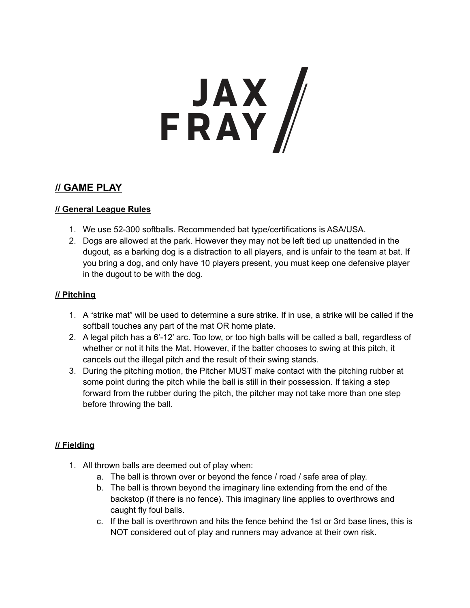# FRAY

# **// GAME PLAY**

## **// General League Rules**

- 1. We use 52-300 softballs. Recommended bat type/certifications is ASA/USA.
- 2. Dogs are allowed at the park. However they may not be left tied up unattended in the dugout, as a barking dog is a distraction to all players, and is unfair to the team at bat. If you bring a dog, and only have 10 players present, you must keep one defensive player in the dugout to be with the dog.

### **// Pitching**

- 1. A "strike mat" will be used to determine a sure strike. If in use, a strike will be called if the softball touches any part of the mat OR home plate.
- 2. A legal pitch has a 6'-12' arc. Too low, or too high balls will be called a ball, regardless of whether or not it hits the Mat. However, if the batter chooses to swing at this pitch, it cancels out the illegal pitch and the result of their swing stands.
- 3. During the pitching motion, the Pitcher MUST make contact with the pitching rubber at some point during the pitch while the ball is still in their possession. If taking a step forward from the rubber during the pitch, the pitcher may not take more than one step before throwing the ball.

# **// Fielding**

- 1. All thrown balls are deemed out of play when:
	- a. The ball is thrown over or beyond the fence / road / safe area of play.
	- b. The ball is thrown beyond the imaginary line extending from the end of the backstop (if there is no fence). This imaginary line applies to overthrows and caught fly foul balls.
	- c. If the ball is overthrown and hits the fence behind the 1st or 3rd base lines, this is NOT considered out of play and runners may advance at their own risk.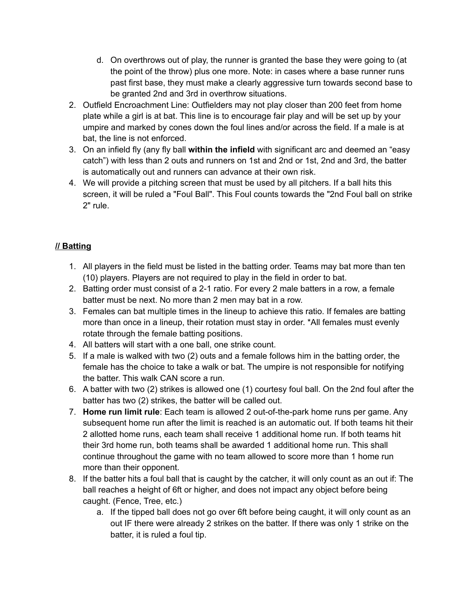- d. On overthrows out of play, the runner is granted the base they were going to (at the point of the throw) plus one more. Note: in cases where a base runner runs past first base, they must make a clearly aggressive turn towards second base to be granted 2nd and 3rd in overthrow situations.
- 2. Outfield Encroachment Line: Outfielders may not play closer than 200 feet from home plate while a girl is at bat. This line is to encourage fair play and will be set up by your umpire and marked by cones down the foul lines and/or across the field. If a male is at bat, the line is not enforced.
- 3. On an infield fly (any fly ball **within the infield** with significant arc and deemed an "easy catch") with less than 2 outs and runners on 1st and 2nd or 1st, 2nd and 3rd, the batter is automatically out and runners can advance at their own risk.
- 4. We will provide a pitching screen that must be used by all pitchers. If a ball hits this screen, it will be ruled a "Foul Ball". This Foul counts towards the "2nd Foul ball on strike 2" rule.

# **// Batting**

- 1. All players in the field must be listed in the batting order. Teams may bat more than ten (10) players. Players are not required to play in the field in order to bat.
- 2. Batting order must consist of a 2-1 ratio. For every 2 male batters in a row, a female batter must be next. No more than 2 men may bat in a row.
- 3. Females can bat multiple times in the lineup to achieve this ratio. If females are batting more than once in a lineup, their rotation must stay in order. \*All females must evenly rotate through the female batting positions.
- 4. All batters will start with a one ball, one strike count.
- 5. If a male is walked with two (2) outs and a female follows him in the batting order, the female has the choice to take a walk or bat. The umpire is not responsible for notifying the batter. This walk CAN score a run.
- 6. A batter with two (2) strikes is allowed one (1) courtesy foul ball. On the 2nd foul after the batter has two (2) strikes, the batter will be called out.
- 7. **Home run limit rule**: Each team is allowed 2 out-of-the-park home runs per game. Any subsequent home run after the limit is reached is an automatic out. If both teams hit their 2 allotted home runs, each team shall receive 1 additional home run. If both teams hit their 3rd home run, both teams shall be awarded 1 additional home run. This shall continue throughout the game with no team allowed to score more than 1 home run more than their opponent.
- 8. If the batter hits a foul ball that is caught by the catcher, it will only count as an out if: The ball reaches a height of 6ft or higher, and does not impact any object before being caught. (Fence, Tree, etc.)
	- a. If the tipped ball does not go over 6ft before being caught, it will only count as an out IF there were already 2 strikes on the batter. If there was only 1 strike on the batter, it is ruled a foul tip.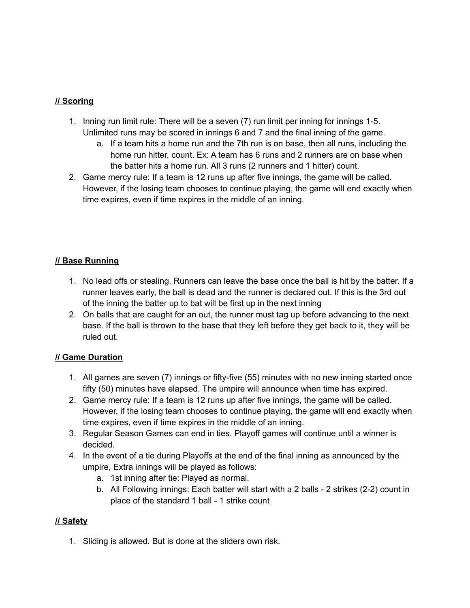## **// Scoring**

- 1. Inning run limit rule: There will be a seven (7) run limit per inning for innings 1-5. Unlimited runs may be scored in innings 6 and 7 and the final inning of the game.
	- a. If a team hits a home run and the 7th run is on base, then all runs, including the home run hitter, count. Ex: A team has 6 runs and 2 runners are on base when the batter hits a home run. All 3 runs (2 runners and 1 hitter) count.
- 2. Game mercy rule: If a team is 12 runs up after five innings, the game will be called. However, if the losing team chooses to continue playing, the game will end exactly when time expires, even if time expires in the middle of an inning.

# **// Base Running**

- 1. No lead offs or stealing. Runners can leave the base once the ball is hit by the batter. If a runner leaves early, the ball is dead and the runner is declared out. If this is the 3rd out of the inning the batter up to bat will be first up in the next inning
- 2. On balls that are caught for an out, the runner must tag up before advancing to the next base. If the ball is thrown to the base that they left before they get back to it, they will be ruled out.

### **// Game Duration**

- 1. All games are seven (7) innings or fifty-five (55) minutes with no new inning started once fifty (50) minutes have elapsed. The umpire will announce when time has expired.
- 2. Game mercy rule: If a team is 12 runs up after five innings, the game will be called. However, if the losing team chooses to continue playing, the game will end exactly when time expires, even if time expires in the middle of an inning.
- 3. Regular Season Games can end in ties. Playoff games will continue until a winner is decided.
- 4. In the event of a tie during Playoffs at the end of the final inning as announced by the umpire, Extra innings will be played as follows:
	- a. 1st inning after tie: Played as normal.
	- b. All Following innings: Each batter will start with a 2 balls 2 strikes (2-2) count in place of the standard 1 ball - 1 strike count

### **// Safety**

1. Sliding is allowed. But is done at the sliders own risk.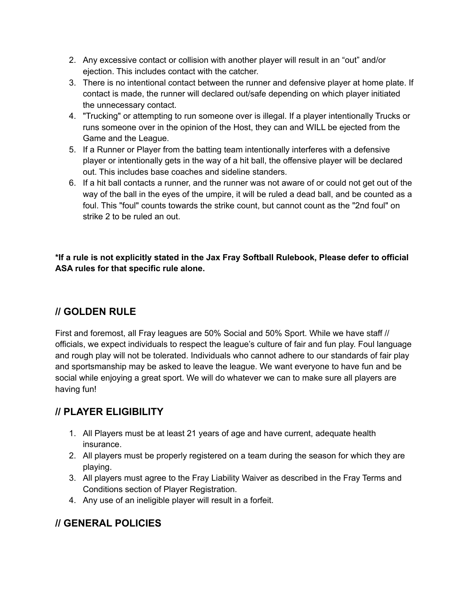- 2. Any excessive contact or collision with another player will result in an "out" and/or ejection. This includes contact with the catcher.
- 3. There is no intentional contact between the runner and defensive player at home plate. If contact is made, the runner will declared out/safe depending on which player initiated the unnecessary contact.
- 4. "Trucking" or attempting to run someone over is illegal. If a player intentionally Trucks or runs someone over in the opinion of the Host, they can and WILL be ejected from the Game and the League.
- 5. If a Runner or Player from the batting team intentionally interferes with a defensive player or intentionally gets in the way of a hit ball, the offensive player will be declared out. This includes base coaches and sideline standers.
- 6. If a hit ball contacts a runner, and the runner was not aware of or could not get out of the way of the ball in the eyes of the umpire, it will be ruled a dead ball, and be counted as a foul. This "foul" counts towards the strike count, but cannot count as the "2nd foul" on strike 2 to be ruled an out.

**\*If a rule is not explicitly stated in the Jax Fray Softball Rulebook, Please defer to official ASA rules for that specific rule alone.**

# **// GOLDEN RULE**

First and foremost, all Fray leagues are 50% Social and 50% Sport. While we have staff // officials, we expect individuals to respect the league's culture of fair and fun play. Foul language and rough play will not be tolerated. Individuals who cannot adhere to our standards of fair play and sportsmanship may be asked to leave the league. We want everyone to have fun and be social while enjoying a great sport. We will do whatever we can to make sure all players are having fun!

# **// PLAYER ELIGIBILITY**

- 1. All Players must be at least 21 years of age and have current, adequate health insurance.
- 2. All players must be properly registered on a team during the season for which they are playing.
- 3. All players must agree to the Fray Liability Waiver as described in the Fray Terms and Conditions section of Player Registration.
- 4. Any use of an ineligible player will result in a forfeit.

# **// GENERAL POLICIES**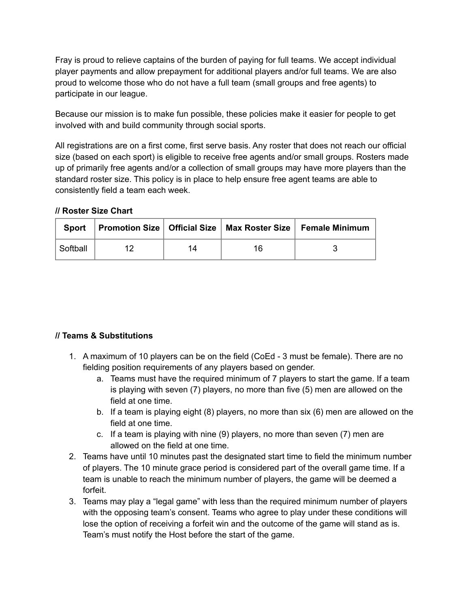Fray is proud to relieve captains of the burden of paying for full teams. We accept individual player payments and allow prepayment for additional players and/or full teams. We are also proud to welcome those who do not have a full team (small groups and free agents) to participate in our league.

Because our mission is to make fun possible, these policies make it easier for people to get involved with and build community through social sports.

All registrations are on a first come, first serve basis. Any roster that does not reach our official size (based on each sport) is eligible to receive free agents and/or small groups. Rosters made up of primarily free agents and/or a collection of small groups may have more players than the standard roster size. This policy is in place to help ensure free agent teams are able to consistently field a team each week.

#### **// Roster Size Chart**

|          |    |    | Sport   Promotion Size   Official Size   Max Roster Size   Female Minimum |
|----------|----|----|---------------------------------------------------------------------------|
| Softball | 14 | 16 |                                                                           |

### **// Teams & Substitutions**

- 1. A maximum of 10 players can be on the field (CoEd 3 must be female). There are no fielding position requirements of any players based on gender.
	- a. Teams must have the required minimum of 7 players to start the game. If a team is playing with seven (7) players, no more than five (5) men are allowed on the field at one time.
	- b. If a team is playing eight (8) players, no more than six (6) men are allowed on the field at one time.
	- c. If a team is playing with nine (9) players, no more than seven (7) men are allowed on the field at one time.
- 2. Teams have until 10 minutes past the designated start time to field the minimum number of players. The 10 minute grace period is considered part of the overall game time. If a team is unable to reach the minimum number of players, the game will be deemed a forfeit.
- 3. Teams may play a "legal game" with less than the required minimum number of players with the opposing team's consent. Teams who agree to play under these conditions will lose the option of receiving a forfeit win and the outcome of the game will stand as is. Team's must notify the Host before the start of the game.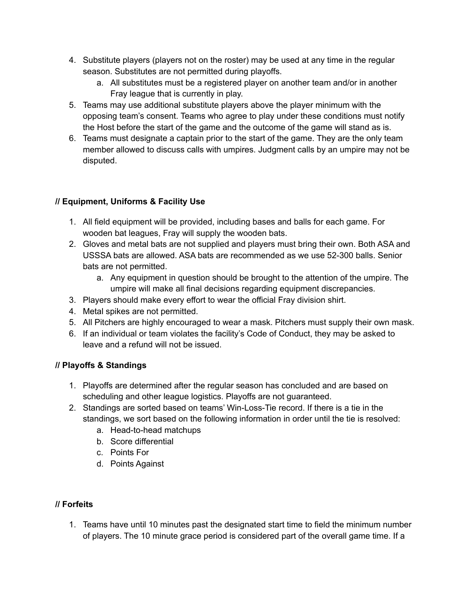- 4. Substitute players (players not on the roster) may be used at any time in the regular season. Substitutes are not permitted during playoffs.
	- a. All substitutes must be a registered player on another team and/or in another Fray league that is currently in play.
- 5. Teams may use additional substitute players above the player minimum with the opposing team's consent. Teams who agree to play under these conditions must notify the Host before the start of the game and the outcome of the game will stand as is.
- 6. Teams must designate a captain prior to the start of the game. They are the only team member allowed to discuss calls with umpires. Judgment calls by an umpire may not be disputed.

# **// Equipment, Uniforms & Facility Use**

- 1. All field equipment will be provided, including bases and balls for each game. For wooden bat leagues, Fray will supply the wooden bats.
- 2. Gloves and metal bats are not supplied and players must bring their own. Both ASA and USSSA bats are allowed. ASA bats are recommended as we use 52-300 balls. Senior bats are not permitted.
	- a. Any equipment in question should be brought to the attention of the umpire. The umpire will make all final decisions regarding equipment discrepancies.
- 3. Players should make every effort to wear the official Fray division shirt.
- 4. Metal spikes are not permitted.
- 5. All Pitchers are highly encouraged to wear a mask. Pitchers must supply their own mask.
- 6. If an individual or team violates the facility's Code of Conduct, they may be asked to leave and a refund will not be issued.

# **// Playoffs & Standings**

- 1. Playoffs are determined after the regular season has concluded and are based on scheduling and other league logistics. Playoffs are not guaranteed.
- 2. Standings are sorted based on teams' Win-Loss-Tie record. If there is a tie in the standings, we sort based on the following information in order until the tie is resolved:
	- a. Head-to-head matchups
	- b. Score differential
	- c. Points For
	- d. Points Against

# **// Forfeits**

1. Teams have until 10 minutes past the designated start time to field the minimum number of players. The 10 minute grace period is considered part of the overall game time. If a